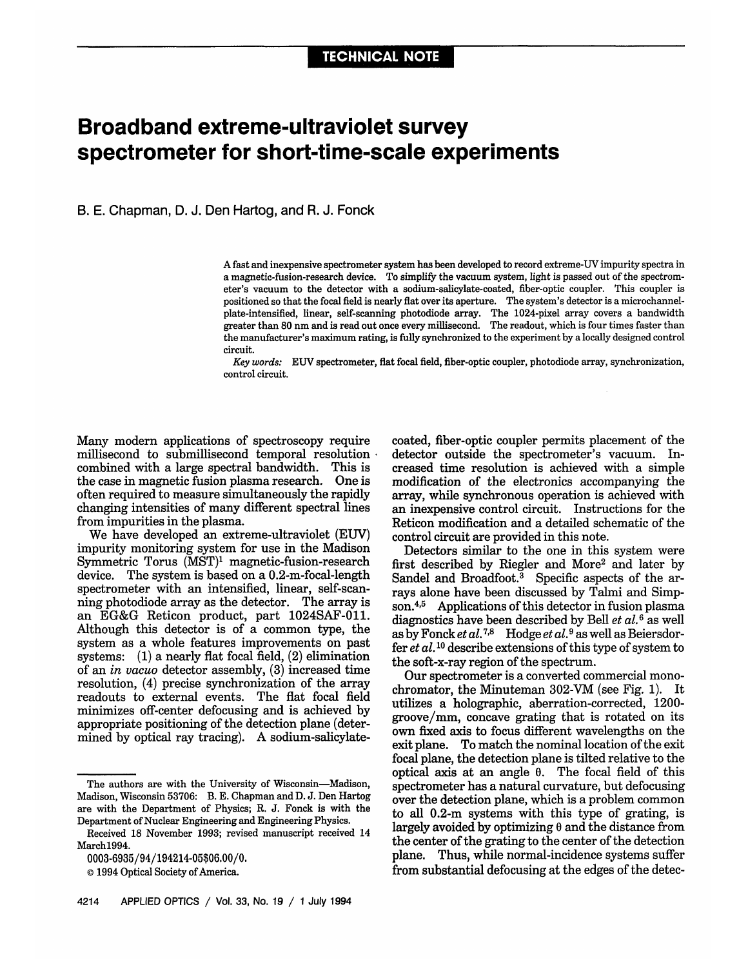## **Broadband extreme-ultraviolet survey spectrometer for short-time-scale experiments**

**B. E. Chapman, D. J. Den Hartog, and R. J. Fonck** 

A fast and inexpensive spectrometer system has been developed to record extreme-UV impurity spectra in a magnetic-fusion-research device. To simplify the vacuum system, light is passed out of the spectrometer's vacuum to the detector with a sodium-salicylate-coated, fiber-optic coupler. This coupler is positioned so that the focal field is nearly flat over its aperture. The system's detector is a microchannelplate-intensified, linear, self-scanning photodiode array. The 1024-pixel array covers a bandwidth greater than 80 nm and is read out once every millisecond. The readout, which is four times faster than the manufacturer's maximum rating, is fully synchronized to the experiment by a locally designed control circuit.

*Key words:* EUV spectrometer, flat focal field, fiber-optic coupler, photodiode array, synchronization, control circuit.

Many modern applications of spectroscopy require millisecond to submillisecond temporal resolution combined with a large spectral bandwidth. This is the case in magnetic fusion plasma research. One is often required to measure simultaneously the rapidly changing intensities of many different spectral lines from impurities in the plasma.

We have developed an extreme-ultraviolet (EUV) impurity monitoring system for use in the Madison Symmetric Torus (MST)<sup>1</sup> magnetic-fusion-research device. The system is based on a 0.2-m-focal-length spectrometer with an intensified, linear, self-scanning photodiode array as the detector. The array is an EG&G Reticon product, part 1024SAF-011. Although this detector is of a common type, the system as a whole features improvements on past systems: (1) a nearly flat focal field, (2) elimination of an *in vacuo* detector assembly, (3) increased time resolution, (4) precise synchronization of the array readouts to external events. The flat focal field minimizes off-center defocusing and is achieved by appropriate positioning of the detection plane (determined by optical ray tracing). A sodium-salicylatecoated, fiber-optic coupler permits placement of the detector outside the spectrometer's vacuum. Increased time resolution is achieved with a simple modification of the electronics accompanying the array, while synchronous operation is achieved with an inexpensive control circuit. Instructions for the Reticon modification and a detailed schematic of the control circuit are provided in this note.

Detectors similar to the one in this system were first described by Riegler and More<sup>2</sup> and later by Sandel and Broadfoot.<sup>3</sup> Specific aspects of the arrays alone have been discussed by Talmi and Simpson.4,5 Applications of this detector in fusion plasma diagnostics have been described by Bell *et al.<sup>6</sup>* as well as by Fonck *et al.*7,8 Hodge *et al.*<sup>9</sup> as well as Beiersdorfer *et al.*<sup>10</sup> describe extensions of this type of system to the soft-x-ray region of the spectrum.

Our spectrometer is a converted commercial monochromator, the Minuteman 302-VM (see Fig. 1). It utilizes a holographic, aberration-corrected, 1200 groove/mm, concave grating that is rotated on its own fixed axis to focus different wavelengths on the exit plane. To match the nominal location of the exit focal plane, the detection plane is tilted relative to the optical axis at an angle θ. The focal field of this spectrometer has a natural curvature, but defocusing over the detection plane, which is a problem common to all 0.2-m systems with this type of grating, is largely avoided by optimizing  $\theta$  and the distance from the center of the grating to the center of the detection plane. Thus, while normal-incidence systems suffer from substantial defocusing at the edges of the detec-

The authors are with the University of Wisconsin—Madison, Madison, Wisconsin 53706: B. E. Chapman and D. J. Den Hartog are with the Department of Physics; R. J. Fonck is with the Department of Nuclear Engineering and Engineering Physics.

Received 18 November 1993; revised manuscript received 14 Marchl994.

<sup>0003-6935/94/194214-05\$06.00/0.</sup> 

<sup>© 1994</sup> Optical Society of America.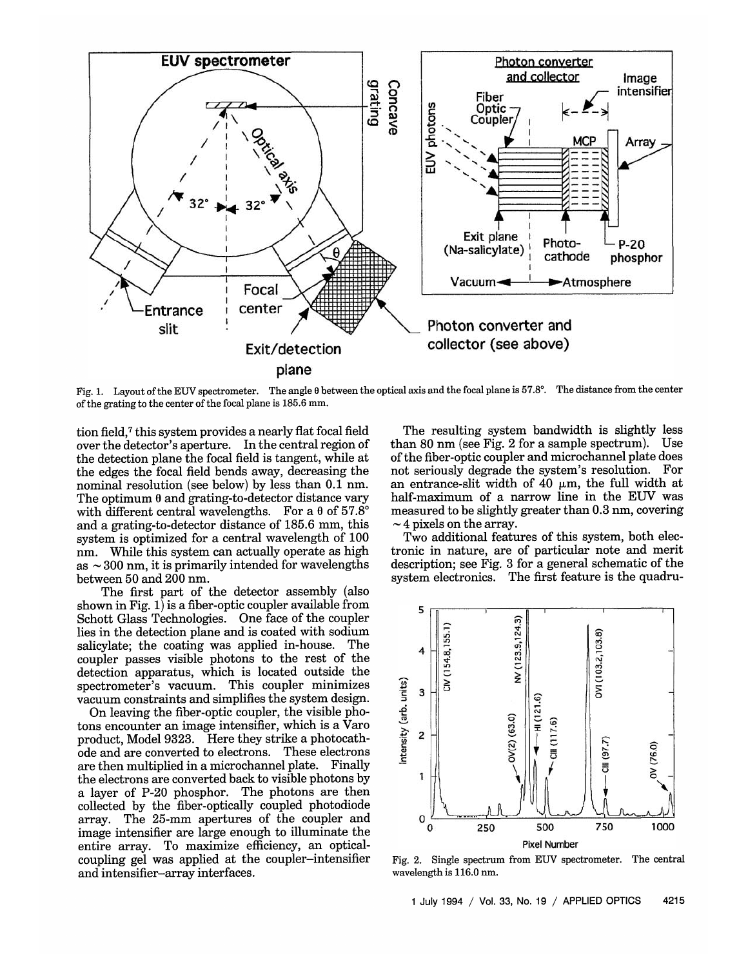

Fig. 1. Layout of the EUV spectrometer. The angle θ between the optical axis and the focal plane is 57.8°. The distance from the center of the grating to the center of the focal plane is 185.6 mm.

tion field,<sup>7</sup> this system provides a nearly flat focal field over the detector's aperture. In the central region of the detection plane the focal field is tangent, while at the edges the focal field bends away, decreasing the nominal resolution (see below) by less than 0.1 nm. The optimum θ and grating-to-detector distance vary with different central wavelengths. For a  $\theta$  of 57.8° and a grating-to-detector distance of 185.6 mm, this system is optimized for a central wavelength of 100 nm. While this system can actually operate as high as  $\sim$  300 nm, it is primarily intended for wavelengths between 50 and 200 nm.

The first part of the detector assembly (also shown in Fig.  $1$ ) is a fiber-optic coupler available from Schott Glass Technologies. One face of the coupler lies in the detection plane and is coated with sodium salicylate; the coating was applied in-house. The coupler passes visible photons to the rest of the detection apparatus, which is located outside the spectrometer's vacuum. This coupler minimizes vacuum constraints and simplifies the system design.

On leaving the fiber-optic coupler, the visible photons encounter an image intensifier, which is a Varo product, Model 9323. Here they strike a photocathode and are converted to electrons. These electrons are then multiplied in a microchannel plate. Finally the electrons are converted back to visible photons by a layer of P-20 phosphor. The photons are then collected by the fiber-optically coupled photodiode array. The 25-mm apertures of the coupler and image intensifier are large enough to illuminate the entire array. To maximize efficiency, an opticalcoupling gel was applied at the coupler-intensifier and intensifier-array interfaces.

The resulting system bandwidth is slightly less than 80 nm (see Fig. 2 for a sample spectrum). Use of the fiber-optic coupler and microchannel plate does not seriously degrade the system's resolution. For an entrance-slit width of  $40 \mu m$ , the full width at half-maximum of a narrow line in the EUV was measured to be slightly greater than 0.3 nm, covering  $\sim$  4 pixels on the array.

Two additional features of this system, both electronic in nature, are of particular note and merit description; see Fig. 3 for a general schematic of the system electronics. The first feature is the quadru-



Fig. 2. Single spectrum from EUV spectrometer. The central wavelength is 116.0 nm.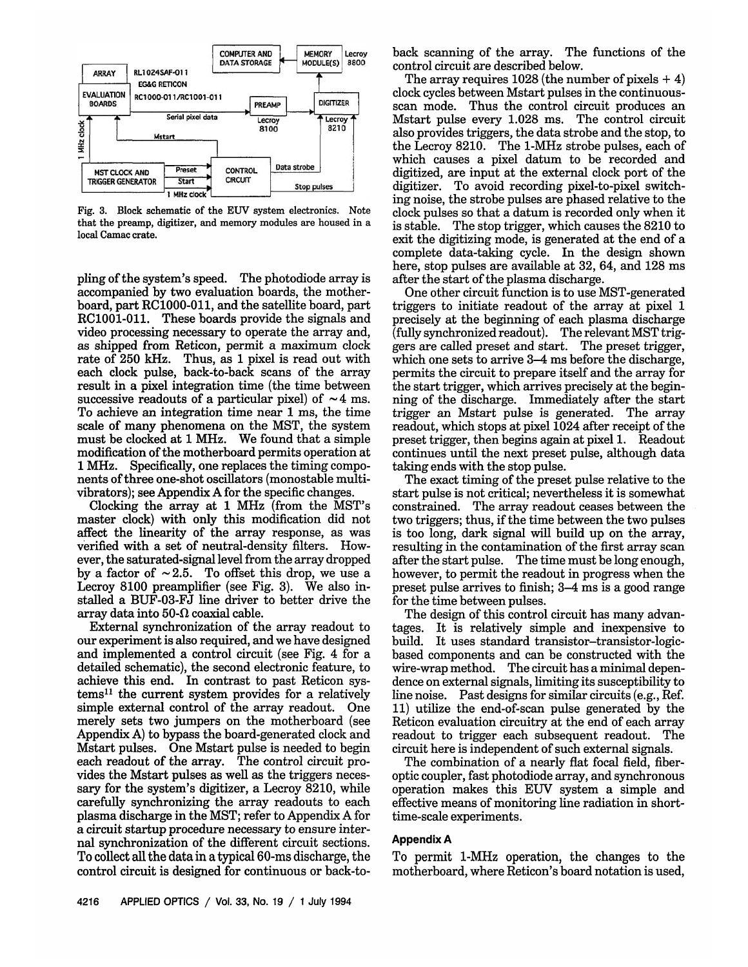

Fig. 3. Block schematic of the EUV system electronics. Note that the preamp, digitizer, and memory modules are housed in a local Camac crate.

pling of the system's speed. The photodiode array is accompanied by two evaluation boards, the motherboard, part RC1000-011, and the satellite board, part RC1001-011. These boards provide the signals and video processing necessary to operate the array and, as shipped from Reticon, permit a maximum clock rate of 250 kHz. Thus, as 1 pixel is read out with each clock pulse, back-to-back scans of the array result in a pixel integration time (the time between successive readouts of a particular pixel) of  $\sim$  4 ms. To achieve an integration time near 1 ms, the time scale of many phenomena on the MST, the system must be clocked at 1 MHz. We found that a simple modification of the motherboard permits operation at 1 MHz. Specifically, one replaces the timing components of three one-shot oscillators (monostable multivibrators); see Appendix A for the specific changes.

Clocking the array at 1 MHz (from the MST's master clock) with only this modification did not affect the linearity of the array response, as was verified with a set of neutral-density filters. However, the saturated-signal level from the array dropped by a factor of  $\sim 2.5$ . To offset this drop, we use a Lecroy 8100 preamplifier (see Fig. 3). We also installed a BUF-03-FJ line driver to better drive the array data into 50- $\Omega$  coaxial cable.

External synchronization of the array readout to our experiment is also required, and we have designed and implemented a control circuit (see Fig. 4 for a detailed schematic), the second electronic feature, to achieve this end. In contrast to past Reticon systems<sup>11</sup> the current system provides for a relatively simple external control of the array readout. One merely sets two jumpers on the motherboard (see Appendix A) to bypass the board-generated clock and Mstart pulses. One Mstart pulse is needed to begin each readout of the array. The control circuit provides the Mstart pulses as well as the triggers necessary for the system's digitizer, a Lecroy 8210, while carefully synchronizing the array readouts to each plasma discharge in the MST; refer to Appendix A for a circuit startup procedure necessary to ensure internal synchronization of the different circuit sections. To collect all the data in a typical 60-ms discharge, the control circuit is designed for continuous or back-toback scanning of the array. The functions of the control circuit are described below.

The array requires  $1028$  (the number of pixels  $+4$ ) clock cycles between Mstart pulses in the continuousscan mode. Thus the control circuit produces an Mstart pulse every 1.028 ms. The control circuit also provides triggers, the data strobe and the stop, to the Lecroy 8210. The 1-MHz strobe pulses, each of which causes a pixel datum to be recorded and digitized, are input at the external clock port of the digitizer. To avoid recording pixel-to-pixel switching noise, the strobe pulses are phased relative to the clock pulses so that a datum is recorded only when it is stable. The stop trigger, which causes the 8210 to exit the digitizing mode, is generated at the end of a complete data-taking cycle. In the design shown here, stop pulses are available at 32, 64, and 128 ms after the start of the plasma discharge.

One other circuit function is to use MST-generated triggers to initiate readout of the array at pixel 1 precisely at the beginning of each plasma discharge (fully synchronized readout). The relevant MST triggers are called preset and start. The preset trigger, which one sets to arrive  $3-4$  ms before the discharge, permits the circuit to prepare itself and the array for the start trigger, which arrives precisely at the beginning of the discharge. Immediately after the start trigger an Mstart pulse is generated. The array readout, which stops at pixel 1024 after receipt of the preset trigger, then begins again at pixel 1. Readout continues until the next preset pulse, although data taking ends with the stop pulse.

The exact timing of the preset pulse relative to the start pulse is not critical; nevertheless it is somewhat constrained. The array readout ceases between the two triggers; thus, if the time between the two pulses is too long, dark signal will build up on the array, resulting in the contamination of the first array scan after the start pulse. The time must be long enough, however, to permit the readout in progress when the preset pulse arrives to finish; 3-4 ms is a good range for the time between pulses.

The design of this control circuit has many advantages. It is relatively simple and inexpensive to build. It uses standard transistor-transistor-logicbased components and can be constructed with the wire-wrap method. The circuit has a minimal dependence on external signals, limiting its susceptibility to line noise. Past designs for similar circuits (e.g., Ref. 11) utilize the end-of-scan pulse generated by the Reticon evaluation circuitry at the end of each array readout to trigger each subsequent readout. The circuit here is independent of such external signals.

The combination of a nearly flat focal field, fiberoptic coupler, fast photodiode array, and synchronous operation makes this EUV system a simple and effective means of monitoring line radiation in shorttime-scale experiments.

## **Appendix A**

To permit 1-MHz operation, the changes to the motherboard, where Reticon's board notation is used,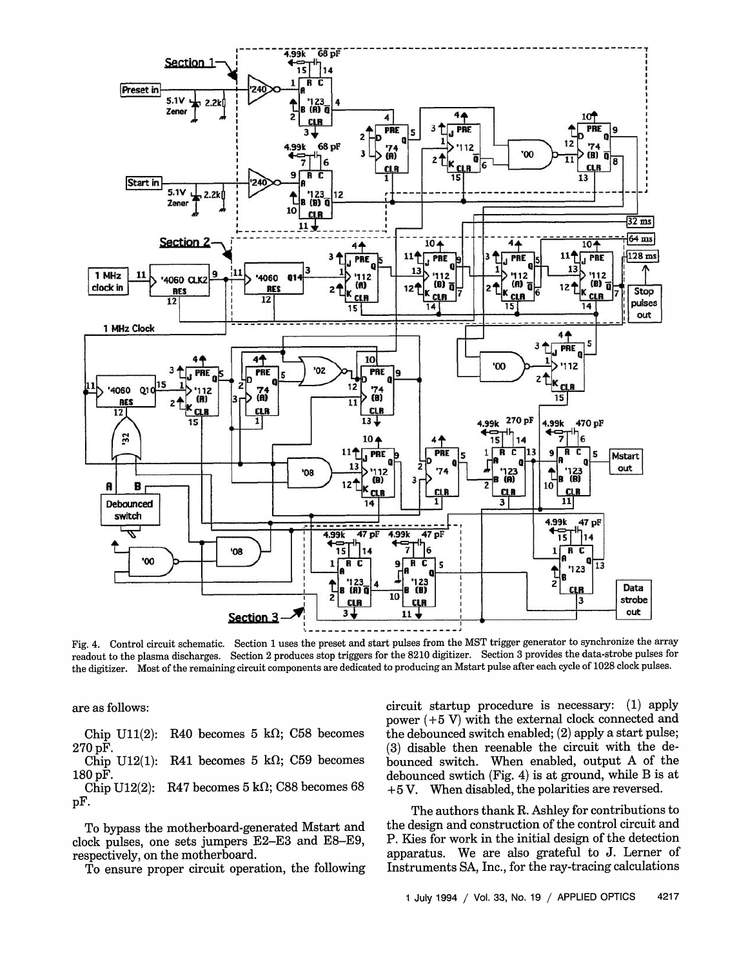

Fig. 4. Control circuit schematic. Section 1 uses the preset and start pulses from the MST trigger generator to synchronize the array readout to the plasma discharges. Section 2 produces stop triggers for the 8210 digitizer. Section 3 provides the data-strobe pulses for the digitizer. Most of the remaining circuit components are dedicated to producing an Mstart pulse after each cycle of 1028 clock pulses.

are as follows:

Chip U11(2): R40 becomes 5 kΩ; C58 becomes 270 pF.

Chip U12(1): R41 becomes 5 kΩ; C59 becomes 180 pF.

Chip U12(2): R47 becomes 5 k $\Omega$ ; C88 becomes 68 pF.

To bypass the motherboard-generated Mstart and clock pulses, one sets jumpers E2-E3 and E8-E9, respectively, on the motherboard.

To ensure proper circuit operation, the following

circuit startup procedure is necessary: (1) apply power (+5 V) with the external clock connected and the debounced switch enabled; (2) apply a start pulse; (3) disable then reenable the circuit with the debounced switch. When enabled, output A of the debounced swtich (Fig. 4) is at ground, while B is at +5 V. When disabled, the polarities are reversed.

The authors thank R. Ashley for contributions to the design and construction of the control circuit and P. Kies for work in the initial design of the detection apparatus. We are also grateful to J. Lerner of Instruments SA, Inc., for the ray-tracing calculations